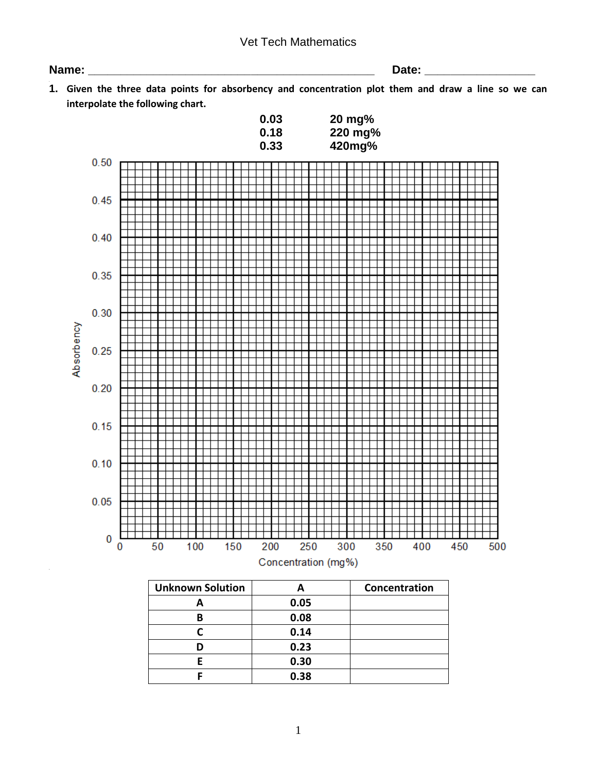## Vet Tech Mathematics

**Name: \_\_\_\_\_\_\_\_\_\_\_\_\_\_\_\_\_\_\_\_\_\_\_\_\_\_\_\_\_\_\_\_\_\_\_\_\_\_\_\_\_\_\_\_ Date: \_\_\_\_\_\_\_\_\_\_\_\_\_\_\_\_\_**

**1. 1. Given the three data points for absorbency and concentration plot them and draw a line so we can interpolate the following chart.**

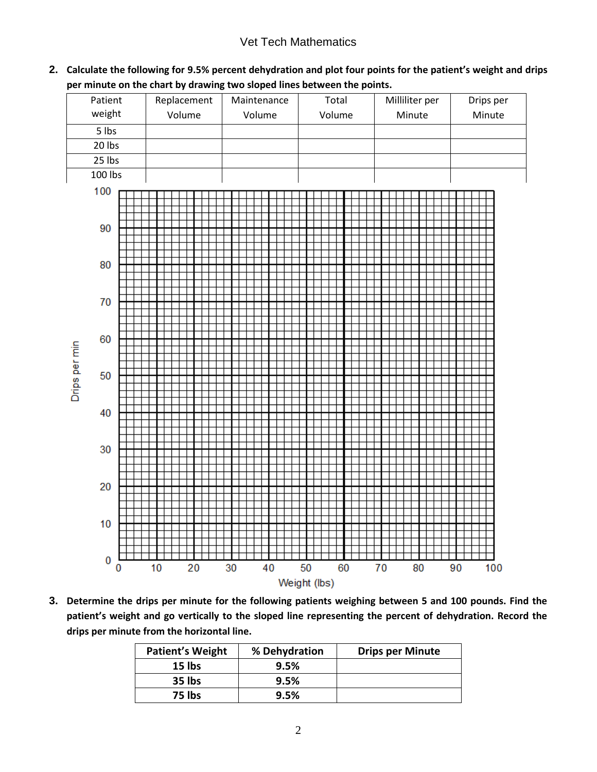# Vet Tech Mathematics

**2. Calculate the following for 9.5% percent dehydration and plot four points for the patient's weight and drips per minute on the chart by drawing two sloped lines between the points.**



**3. Determine the drips per minute for the following patients weighing between 5 and 100 pounds. Find the patient's weight and go vertically to the sloped line representing the percent of dehydration. Record the drips per minute from the horizontal line.**

| <b>Patient's Weight</b> | % Dehydration | <b>Drips per Minute</b> |
|-------------------------|---------------|-------------------------|
| $15$ lbs                | 9.5%          |                         |
| 35 lbs                  | 9.5%          |                         |
| 75 lbs                  | 9.5%          |                         |